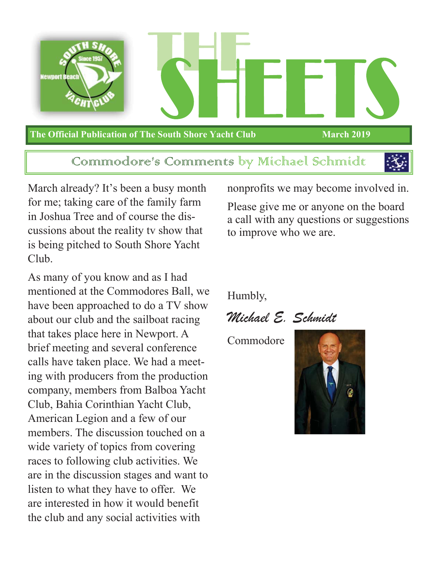

Communodore's Communents by Michael Schinnidt



March already? It's been a busy month for me; taking care of the family farm in Joshua Tree and of course the discussions about the reality tv show that is being pitched to South Shore Yacht Club.

As many of you know and as I had mentioned at the Commodores Ball, we have been approached to do a TV show about our club and the sailboat racing that takes place here in Newport. A brief meeting and several conference calls have taken place. We had a meeting with producers from the production company, members from Balboa Yacht Club, Bahia Corinthian Yacht Club, American Legion and a few of our members. The discussion touched on a wide variety of topics from covering races to following club activities. We are in the discussion stages and want to listen to what they have to offer. We are interested in how it would benefit the club and any social activities with

nonprofits we may become involved in.

Please give me or anyone on the board a call with any questions or suggestions to improve who we are.

Humbly,

Michael E. Schmidt

Commodore

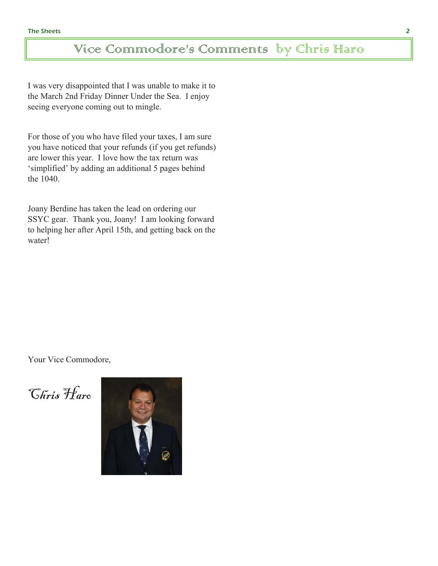## Vice Commodore's Comments by Chris Haro

I was very disappointed that I was unable to make it to the March 2nd Friday Dinner Under the Sea. I enjoy seeing everyone coming out to mingle.

For those of you who have filed your taxes, I am sure you have noticed that your refunds (if you get refunds) are lower this year. I love how the tax return was 'simplified' by adding an additional 5 pages behind the 1040.

Joany Berdine has taken the lead on ordering our SSYC gear. Thank you, Joany! I am looking forward to helping her after April 15th, and getting back on the water!

Your Vice Commodore,

Chris Haro

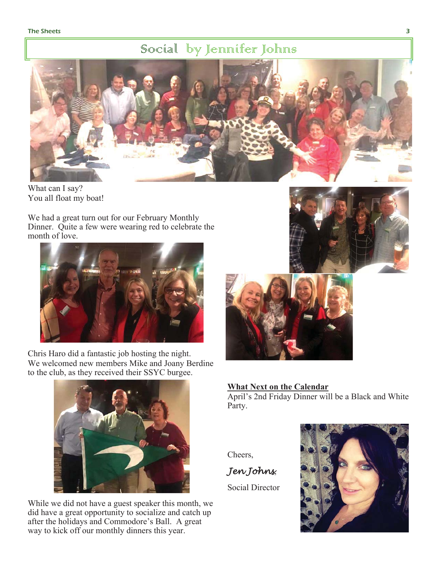### Social by Jennifer Johns



What can I say? You all float my boat!

We had a great turn out for our February Monthly Dinner. Quite a few were wearing red to celebrate the month of love.



Chris Haro did a fantastic job hosting the night. We welcomed new members Mike and Joany Berdine to the club, as they received their SSYC burgee.



While we did not have a guest speaker this month, we did have a great opportunity to socialize and catch up after the holidays and Commodore's Ball. A great way to kick off our monthly dinners this year.





### **What Next on the Calendar**

April's 2nd Friday Dinner will be a Black and White Party.

Cheers,

*Jen Johns*

Social Director

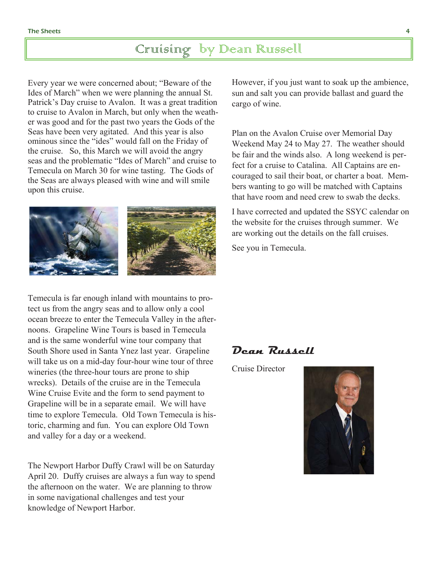# Cruising by Dean Russell

Every year we were concerned about; "Beware of the Ides of March" when we were planning the annual St. Patrick's Day cruise to Avalon. It was a great tradition to cruise to Avalon in March, but only when the weather was good and for the past two years the Gods of the Seas have been very agitated. And this year is also ominous since the "ides" would fall on the Friday of the cruise. So, this March we will avoid the angry seas and the problematic "Ides of March" and cruise to Temecula on March 30 for wine tasting. The Gods of the Seas are always pleased with wine and will smile upon this cruise.



Temecula is far enough inland with mountains to protect us from the angry seas and to allow only a cool ocean breeze to enter the Temecula Valley in the afternoons. Grapeline Wine Tours is based in Temecula and is the same wonderful wine tour company that South Shore used in Santa Ynez last year. Grapeline will take us on a mid-day four-hour wine tour of three wineries (the three-hour tours are prone to ship wrecks). Details of the cruise are in the Temecula Wine Cruise Evite and the form to send payment to Grapeline will be in a separate email. We will have time to explore Temecula. Old Town Temecula is historic, charming and fun. You can explore Old Town and valley for a day or a weekend.

The Newport Harbor Duffy Crawl will be on Saturday April 20. Duffy cruises are always a fun way to spend the afternoon on the water. We are planning to throw in some navigational challenges and test your knowledge of Newport Harbor.

However, if you just want to soak up the ambience, sun and salt you can provide ballast and guard the cargo of wine.

Plan on the Avalon Cruise over Memorial Day Weekend May 24 to May 27. The weather should be fair and the winds also. A long weekend is perfect for a cruise to Catalina. All Captains are encouraged to sail their boat, or charter a boat. Members wanting to go will be matched with Captains that have room and need crew to swab the decks.

I have corrected and updated the SSYC calendar on the website for the cruises through summer. We are working out the details on the fall cruises.

See you in Temecula.

### Dean Russell

Cruise Director

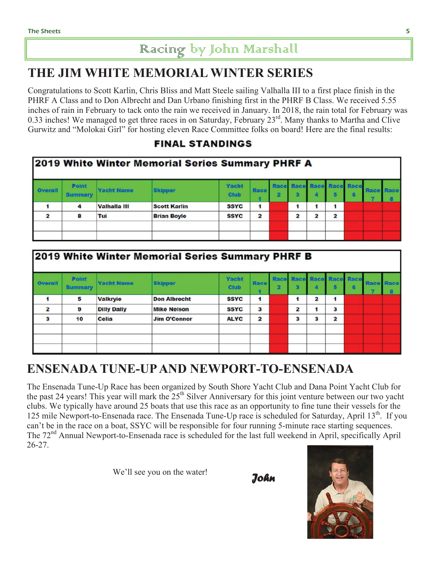# Racing by John Marshall

## THE JIM WHITE MEMORIAL WINTER SERIES

Congratulations to Scott Karlin, Chris Bliss and Matt Steele sailing Valhalla III to a first place finish in the 155. PHRF A Class and to Don Albrecht and Dan Urbano finishing first in the PHRF B Class. We received inches of rain in February to tack onto the rain we received in January. In 2018, the rain total for February was 0.33 inches! We managed to get three races in on Saturday, February  $23<sup>rd</sup>$ . Many thanks to Martha and Clive Gurwitz and "Molokai Girl" for hosting eleven Race Committee folks on board! Here are the final results:

### **FINAL STANDINGS**

|                |                         |                     | 2019 White Winter Memorial Series Summary PHRF A |                      |                |                         |   |                          |   |      |   |
|----------------|-------------------------|---------------------|--------------------------------------------------|----------------------|----------------|-------------------------|---|--------------------------|---|------|---|
| Overall        | Point<br><b>Summary</b> | <b>Yacht Name</b>   | <b>Skipper</b>                                   | Yacht<br><b>Club</b> | <b>Race</b>    |                         |   | Race Race Race Race Race | G | Race | a |
|                | 4                       | <b>Valhalla III</b> | <b>Scott Karlin</b>                              | <b>SSYC</b>          | 1              |                         |   |                          |   |      |   |
| $\overline{2}$ | 8                       | Tui                 | <b>Brian Boyle</b>                               | <b>SSYC</b>          | $\overline{2}$ | $\overline{\mathbf{z}}$ | 2 | $\overline{a}$           |   |      |   |
|                |                         |                     |                                                  |                      |                |                         |   |                          |   |      |   |
|                |                         |                     |                                                  |                      |                |                         |   |                          |   |      |   |

|                         |                                |                    | 2019 White Winter Memorial Series Summary PHRF B |                      |                         |   |                |                         |                               |   |                  |  |
|-------------------------|--------------------------------|--------------------|--------------------------------------------------|----------------------|-------------------------|---|----------------|-------------------------|-------------------------------|---|------------------|--|
| Overall                 | <b>Point</b><br><b>Summary</b> | <b>Yacht Name</b>  | <b>Skipper</b>                                   | Yacht<br><b>Club</b> | <b>Race</b>             | 2 | з              |                         | Race Race Race Race Race<br>5 | 6 | <b>Race Race</b> |  |
|                         | 5                              | <b>Valkryie</b>    | <b>Don Albrecht</b>                              | <b>SSYC</b>          | 1                       |   |                | $\overline{\mathbf{z}}$ | 1                             |   |                  |  |
| $\overline{\mathbf{z}}$ | 9                              | <b>Dilly Dally</b> | <b>Mike Nelson</b>                               | <b>SSYC</b>          | 3                       |   | $\overline{2}$ |                         | 3                             |   |                  |  |
| 3                       | 10                             | <b>Celia</b>       | <b>Jim O'Connor</b>                              | <b>ALYC</b>          | $\overline{\mathbf{2}}$ |   | з              | 3                       | $\overline{a}$                |   |                  |  |
|                         |                                |                    |                                                  |                      |                         |   |                |                         |                               |   |                  |  |
|                         |                                |                    |                                                  |                      |                         |   |                |                         |                               |   |                  |  |
|                         |                                |                    |                                                  |                      |                         |   |                |                         |                               |   |                  |  |

## ENSENADA TUNE-UP AND NEWPORT-TO-ENSENADA

The Ensenada Tune-Up Race has been organized by South Shore Yacht Club and Dana Point Yacht Club for the past 24 years! This year will mark the 25<sup>th</sup> Silver Anniversary for this joint venture between our two yacht clubs. We typically have around 25 boats that use this race as an opportunity to fine tune their vessels for the 125 mile Newport-to-Ensenada race. The Ensenada Tune-Up race is scheduled for Saturday, April 13<sup>th</sup>. If you can't be in the race on a boat, SSYC will be responsible for four running 5-minute race starting sequences. The 72<sup>nd</sup> Annual Newport-to-Ensenada race is scheduled for the last full weekend in April, specifically April  $26 - 27$ .

We'll see you on the water!



5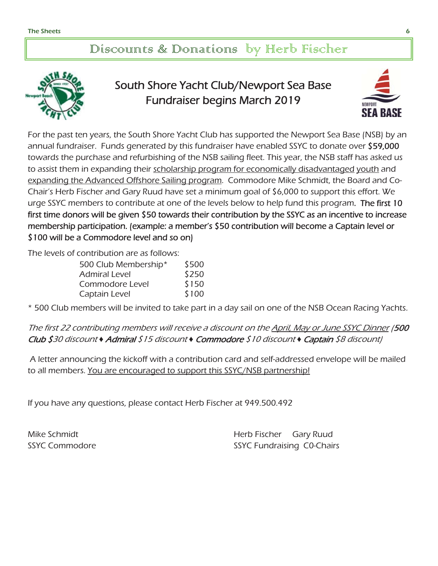### Discounts & Donations by Herb Fischer



## South Shore Yacht Club/Newport Sea Base Fundraiser begins March 2019



For the past ten years, the South Shore Yacht Club has supported the Newport Sea Base (NSB) by an annual fundraiser. Funds generated by this fundraiser have enabled SSYC to donate over \$59,000 towards the purchase and refurbishing of the NSB sailing fleet. This year, the NSB staff has asked us to assist them in expanding their scholarship program for economically disadvantaged youth and expanding the Advanced Offshore Sailing program. Commodore Mike Schmidt, the Board and Co-Chair's Herb Fischer and Gary Ruud have set a minimum goal of \$6,000 to support this effort. We urge SSYC members to contribute at one of the levels below to help fund this program. The first 10 first time donors will be given \$50 towards their contribution by the SSYC as an incentive to increase membership participation. (example: a member's \$50 contribution will become a Captain level or \$100 will be a Commodore level and so on)

The levels of contribution are as follows:

| 500 Club Membership* | \$500 |
|----------------------|-------|
| <b>Admiral Level</b> | \$250 |
| Commodore Level      | \$150 |
| Captain Level        | \$100 |

\* 500 Club members will be invited to take part in a day sail on one of the NSB Ocean Racing Yachts.

The first 22 contributing members will receive a discount on the April, May or June SSYC Dinner (500 Club \$30 discount *Ƈ* Admiral \$15 discount *Ƈ* Commodore \$10 discount *Ƈ* Captain \$8 discount)

 A letter announcing the kickoff with a contribution card and self-addressed envelope will be mailed to all members. You are encouraged to support this SSYC/NSB partnership!

If you have any questions, please contact Herb Fischer at 949.500.492

Mike Schmidt **Herb Fischer** Gary Ruud SSYC Commodore SSYC Fundraising C0-Chairs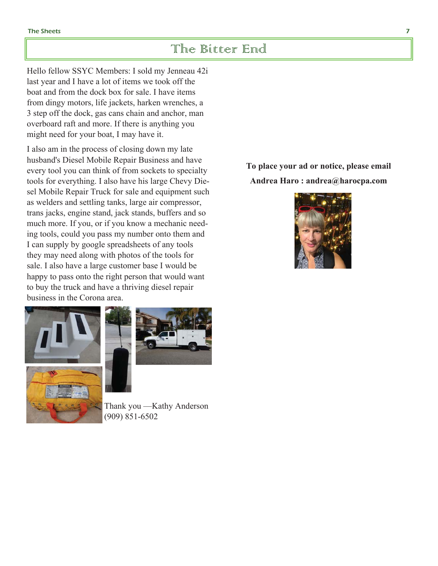### The Bitter End

Hello fellow SSYC Members: I sold my Jenneau 42i last year and I have a lot of items we took off the boat and from the dock box for sale. I have items from dingy motors, life jackets, harken wrenches, a 3 step off the dock, gas cans chain and anchor, man overboard raft and more. If there is anything you might need for your boat, I may have it.

I also am in the process of closing down my late husband's Diesel Mobile Repair Business and have every tool you can think of from sockets to specialty tools for everything. I also have his large Chevy Diesel Mobile Repair Truck for sale and equipment such as welders and settling tanks, large air compressor, trans jacks, engine stand, jack stands, buffers and so much more. If you, or if you know a mechanic needing tools, could you pass my number onto them and I can supply by google spreadsheets of any tools they may need along with photos of the tools for sale. I also have a large customer base I would be happy to pass onto the right person that would want to buy the truck and have a thriving diesel repair business in the Corona area.





Thank you - Kathy Anderson  $(909)$  851-6502

To place your ad or notice, please email Andrea Haro: andrea@harocpa.com

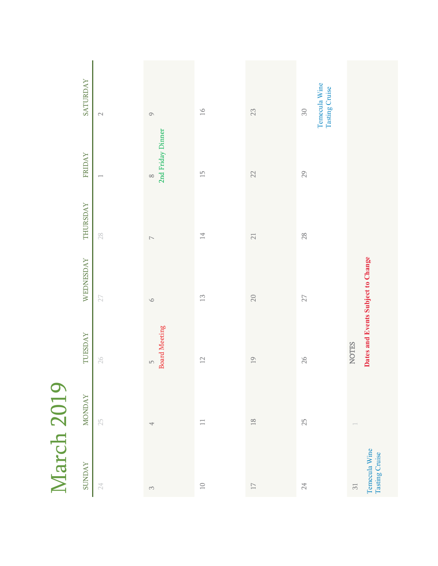| Ð<br>١ |
|--------|
| v      |
|        |
| ⊂      |
| t<br>ŗ |
|        |

| <b>SATURDAY</b> | $\mathbb{C}^1$           | $\circ$                                | $16\,$          | $23\,$                     | Temecula Wine<br>Tasting Cruise<br>${\rm S0}$ |                                                               |
|-----------------|--------------------------|----------------------------------------|-----------------|----------------------------|-----------------------------------------------|---------------------------------------------------------------|
| <b>FRIDAY</b>   | $\overline{\phantom{a}}$ | 2nd Friday Dinner<br>$\infty$          | $\frac{1}{2}$   | 22                         | 29                                            |                                                               |
| THURSDAY        | $28$                     | $\overline{\phantom{0}}$               | $\overline{14}$ | $21\,$                     | $28$                                          |                                                               |
| WEDNESDAY       | $27\,$                   | $\circ$                                | $\Xi$           | $20\,$                     | $27\,$                                        | Dates and Events Subject to Change                            |
| TUESDAY         | $26\,$                   | <b>Board Meeting</b><br>$\overline{L}$ | $\supseteq$     | 19                         | 26                                            | <b>NOTES</b>                                                  |
| <b>MONDAY</b>   | $25\,$                   | $\overline{\phantom{a}}$               | $\equiv$        | $\overline{\phantom{0}18}$ | $25\,$                                        |                                                               |
| <b>SUNDAY</b>   | $24\,$                   | $\sim$                                 | $\Box$          | $\Box$                     | $24\,$                                        | Temecula Wine<br>Tasting Cruise<br>$\overline{\mathcal{S}}$ l |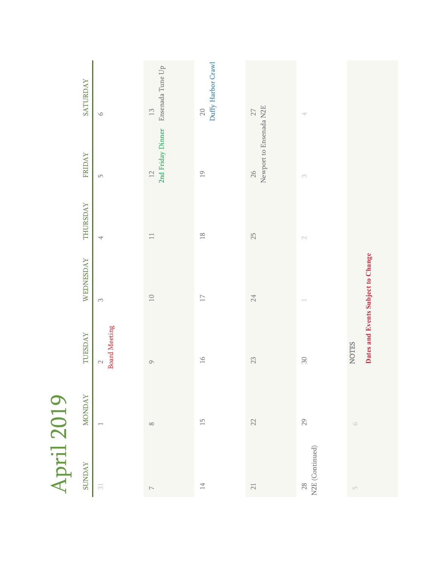| $\Box$                             |
|------------------------------------|
|                                    |
| J<br>c.                            |
|                                    |
| Ξ<br>$\overline{\phantom{a}}$<br>Ξ |
| ŕ                                  |

| <b>SUNDAY</b><br>$\overline{\mathcal{S}}$ l | <b>MONDAY</b>            | TUESDAY                                            | WEDNESDAY | THURSDAY       | <b>FRIDAY</b>                 | <b>SATURDAY</b>                    |
|---------------------------------------------|--------------------------|----------------------------------------------------|-----------|----------------|-------------------------------|------------------------------------|
|                                             | $\overline{\phantom{0}}$ | <b>Board Meeting</b><br>$\small\simeq$             | $\infty$  | 4              | $\mathsf{L}\cap$              | $\circ$                            |
|                                             | $\infty$                 | $\circ$                                            | $10$      | $\Box$         | 2nd Friday Dinner<br>12       | Ensenada Tune Up<br>$\frac{13}{2}$ |
|                                             | $\overline{\Box}$        | $\geq$                                             | $\Box$    | $\frac{8}{10}$ | $\overline{19}$               | Duffy Harbor Crawl<br>$20\,$       |
|                                             | $22\,$                   | 23                                                 | $24\,$    | 25             | Newport to Ensenada N2E<br>26 | $27\,$                             |
| N2E (Continued)                             | $29\,$                   | ${\rm S0}$                                         |           |                |                               | $\overline{\phantom{a}}$           |
|                                             | $\circlearrowright$      | Dates and Events Subject to Change<br><b>NOTES</b> |           |                |                               |                                    |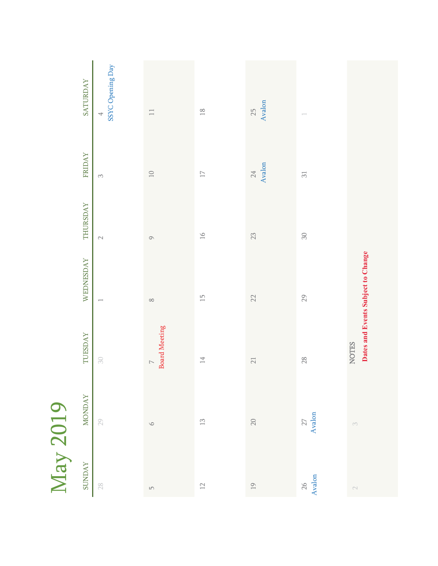| Г                        |
|--------------------------|
| $\overline{\phantom{0}}$ |
|                          |
|                          |
| ò                        |
| ί<br>ſ                   |
|                          |

| <b>SUNDAY</b>              | <b>MONDAY</b>    | TUESDAY                                            | WEDNESDAY                | THURSDAY      | <b>FRIDAY</b>    | <b>SATURDAY</b>       |
|----------------------------|------------------|----------------------------------------------------|--------------------------|---------------|------------------|-----------------------|
| $28$                       | $29\,$           | $\rm{SO}$                                          | $\overline{\phantom{0}}$ |               | $\infty$         | SSYC Opening Day<br>4 |
|                            | $\circ$          | <b>Board Meeting</b><br>$\triangleright$           | $\infty$                 | $\circ$       | $\Box$           | $\Box$                |
| $12\,$                     | $\Xi$            | $\overline{14}$                                    | $\overline{\Box}$        | $\frac{1}{6}$ | $\Box$           | $\frac{8}{18}$        |
| $\overline{19}$            | $20\,$           | $\geq 1$                                           | 22                       | 23            | Avalon<br>$24\,$ | Avalon<br>25          |
| $\frac{26}{\text{Avalon}}$ | $27$ Avalon $\,$ | 28                                                 | $29$                     | $30\,$        | $\overline{31}$  |                       |
|                            |                  | Dates and Events Subject to Change<br><b>NOTES</b> |                          |               |                  |                       |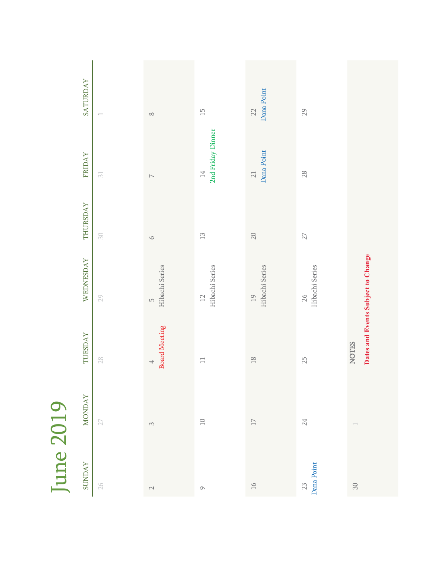| D |
|---|
| F |
|   |
|   |
|   |
|   |
| ١ |

| SATURDAY       |                          |                                  |                                  | Dana Point                        |                      |                                    |
|----------------|--------------------------|----------------------------------|----------------------------------|-----------------------------------|----------------------|------------------------------------|
|                |                          | $\infty$                         | $\frac{1}{2}$                    | 22                                | 29                   |                                    |
| <b>FRIDAY</b>  | $\overline{\mathrm{S1}}$ | $\overline{\phantom{0}}$         | 2nd Friday Dinner<br>$14\,$      | Dana Point<br>$\geq$              | 28                   |                                    |
| THURSDAY       | $\rm{SO}$                | $\bigcirc$                       | $\begin{array}{c} 2 \end{array}$ | $20\,$                            | $27\,$               |                                    |
| WEDNESDAY      | 29                       | Hibachi Series<br>$\overline{L}$ | Hibachi Series<br>$12\,$         | Hibachi Series<br>$\overline{19}$ | Hibachi Series<br>26 | Dates and Events Subject to Change |
| <b>TUESDAY</b> | $28$                     | <b>Board Meeting</b><br>4        | $\Box$                           | $\frac{8}{10}$                    | 25                   | <b>NOTES</b>                       |
| <b>MONDAY</b>  | $27\,$                   | $\sim$                           | $\Box$                           | $\Box$                            | $24\,$               |                                    |
| <b>SUNDAY</b>  | 26                       | $\sim$                           | $\circ$                          | $\gtrsim$                         | Dana Point<br>$23\,$ | $30\,$                             |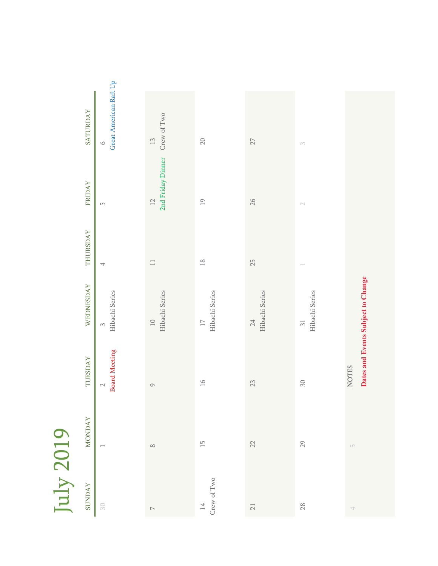| $\bigcap$ |
|-----------|
| ₹         |
|           |
| ◠         |
|           |
|           |
|           |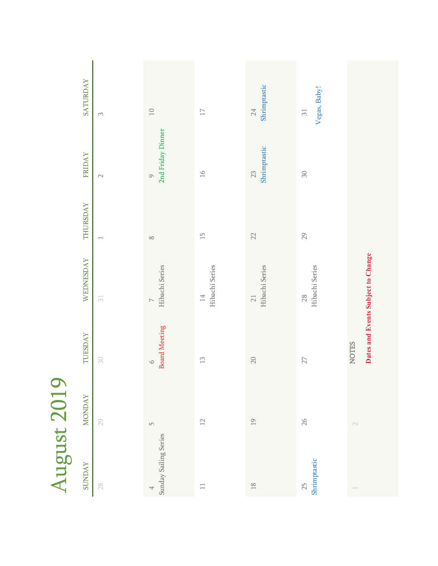| ٣                        |
|--------------------------|
| V                        |
|                          |
|                          |
|                          |
| J                        |
|                          |
|                          |
| Г                        |
|                          |
| $\overline{\phantom{a}}$ |

| SATURDAY      | $\infty$                   | $\Box$                             | $\Box$                               | Shrimptastic<br>$24\,$            | Vegas, Baby!<br>51       |                                    |
|---------------|----------------------------|------------------------------------|--------------------------------------|-----------------------------------|--------------------------|------------------------------------|
| <b>FRIDAY</b> | $\sim$                     | 2nd Friday Dinner<br>$\circ$       | 16                                   | Shrimptastic<br>$23\,$            | $30\,$                   |                                    |
| THURSDAY      | $\overline{\phantom{m}}$   | $\infty$                           | $\frac{1}{2}$                        | 22                                | $29$                     |                                    |
| WEDNESDAY     | $\overline{\mathcal{S}}$ l | Hibachi Series<br>$\triangleright$ | Hibachi Series<br>14                 | Hibachi Series<br>$\overline{21}$ | Hibachi Series<br>$28\,$ | Dates and Events Subject to Change |
| TUESDAY       | $\rm{SO}$                  | <b>Board Meeting</b><br>$\circ$    | $\begin{array}{c} 1 \ 2 \end{array}$ | 20                                | $27\,$                   | <b>NOTES</b>                       |
| <b>MONDAY</b> | $29\,$                     | $\mathsf{L}\cap$                   | 12                                   | $\overline{1}9$                   | $26\,$                   |                                    |
| <b>SUNDAY</b> | $28\,$                     | Sunday Sailing Series<br>4         | $\equiv$                             | $\sqrt{8}$                        | Shrimptastic<br>$25\,$   | $\overline{\phantom{m}}$           |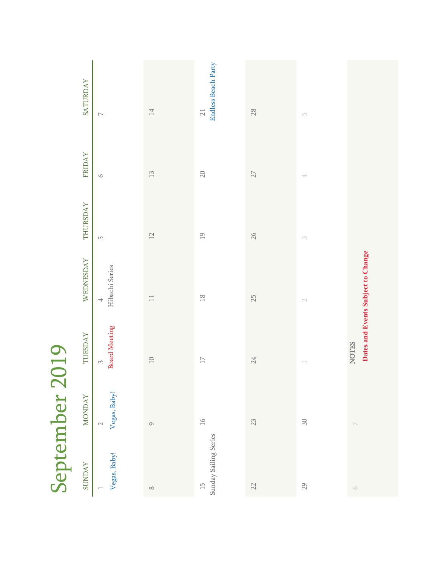| September 2019                           |                     |                                  |                                    |                  |         |                                        |
|------------------------------------------|---------------------|----------------------------------|------------------------------------|------------------|---------|----------------------------------------|
| <b>SUNDAY</b>                            | <b>MONDAY</b>       | TUESDAY                          | WEDNESDAY                          | THURSDAY         | FRIDAY  | SATURDAY                               |
| Vegas, Baby!                             | Vegas, Baby!        | <b>Board Meeting</b><br>$\infty$ | Hibachi Series<br>4                | $\mathsf{L}\cap$ | $\circ$ | $\overline{\phantom{0}}$               |
| $\infty$                                 | $\circlearrowright$ | $10$                             | $\overline{\phantom{a}}$           | $12$             | $\Xi$   | $14\,$                                 |
| Sunday Sailing Series<br>$\overline{15}$ | $16$                | $\Box$                           | $18$                               | $\overline{19}$  | $20\,$  | <b>Endless Beach Party</b><br>$\geq 1$ |
| 22                                       | $23\,$              | 24                               | 25                                 | 26               | $27\,$  | $28$                                   |
| 29                                       | $\rm 30$            | $\overline{\phantom{a}}$         |                                    | $\infty$         | 4       | $\mathsf{L}\cap$                       |
| $\circlearrowright$                      | $\triangleright$    | <b>NOTES</b>                     | Dates and Events Subject to Change |                  |         |                                        |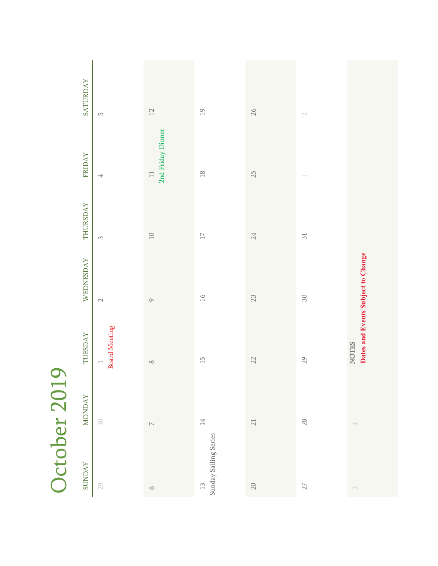| October 201                            |                          |                                                    |           |                 |                             |                  |
|----------------------------------------|--------------------------|----------------------------------------------------|-----------|-----------------|-----------------------------|------------------|
| <b>SUNDAY</b>                          | <b>MONDAY</b>            | TUESDAY                                            | WEDNESDAY | THURSDAY        | FRIDAY                      | <b>SATURDAY</b>  |
| $29\,$                                 | $\mathbb S \mathbb O$    | <b>Board Meeting</b><br>$\overline{\phantom{0}}$   | $\sim$    | $\infty$        | 4                           | $\mathsf{L}\cap$ |
| $\circ$                                | $\overline{\phantom{0}}$ | $\infty$                                           | $\circ$   | $\Box$          | 2nd Friday Dinner<br>$\Box$ | $12$             |
| Sunday Sailing Series<br>$\frac{1}{2}$ | 14                       | $\overline{\Box}$                                  | $\gtrsim$ | $\Box$          | $\frac{8}{10}$              | $\frac{1}{2}$    |
| $20\,$                                 | $\sqrt{2}1$              | $22\,$                                             | $23\,$    | $24\,$          | $25$                        | 26               |
| $27\,$                                 | $28\,$                   | 29                                                 | $30\,$    | $\overline{31}$ | $\overline{\phantom{m}}$    |                  |
| $\sim$                                 | $\overline{\phantom{a}}$ | Dates and Events Subject to Change<br><b>NOTES</b> |           |                 |                             |                  |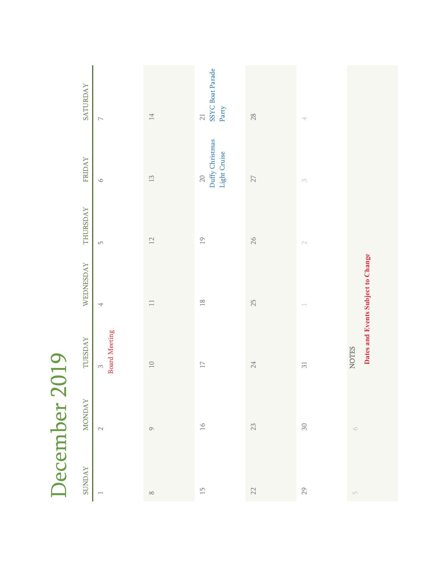|               | SATURDAY<br>FRIDAY<br>THURSDAY<br>WEDNESDAY<br>TUESDAY | $\overline{\phantom{a}}$<br>$\circ$<br>$\mathsf{L}\cap$<br>4<br><b>Board Meeting</b><br>$\infty$ | $14\,$<br>$\begin{array}{c} 12 \\ 1 \end{array}$<br>$12\,$<br>$\Box$<br>$\Box$ | SSYC Boat Parade<br>Party<br>$21\,$<br>Duffy Christmas<br>Light Cruise<br>$20\,$<br>$\overline{19}$<br>$\frac{8}{10}$<br>$\Box$ | $28$<br>$27\,$<br>26<br>25<br>24 | $\overline{\phantom{a}}$<br>$\scriptstyle\bigcap$<br>$\overline{31}$ | Dates and Events Subject to Change<br><b>NOTES</b> |
|---------------|--------------------------------------------------------|--------------------------------------------------------------------------------------------------|--------------------------------------------------------------------------------|---------------------------------------------------------------------------------------------------------------------------------|----------------------------------|----------------------------------------------------------------------|----------------------------------------------------|
|               |                                                        |                                                                                                  |                                                                                |                                                                                                                                 |                                  |                                                                      |                                                    |
| December 2019 | <b>MONDAY</b>                                          | $\mathbin{\vartriangle}$                                                                         | $\circlearrowright$                                                            | $16$                                                                                                                            | $23\,$                           | ${\rm S0}$                                                           | $\circlearrowright$                                |
|               | <b>SUNDAY</b>                                          | $\overline{\phantom{a}}$                                                                         | $\infty$                                                                       | $\overline{\mathbb{L}}$                                                                                                         | $22\,$                           | $29\,$                                                               | $\Box$                                             |